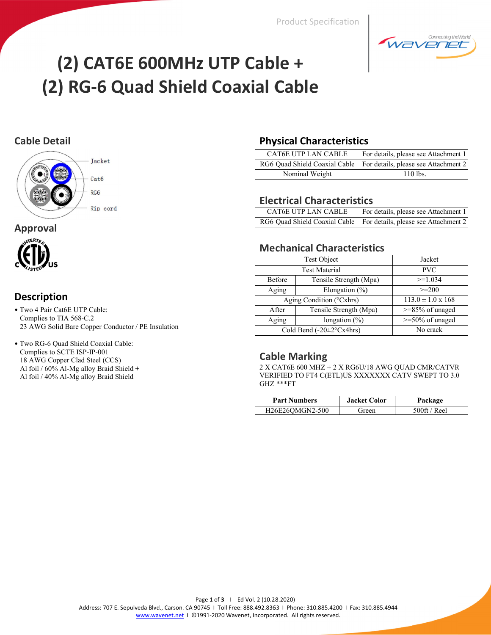**Product Specification** 



# (2) CAT6E 600MHz UTP Cable + (2) RG-6 Quad Shield Coaxial Cable

## **Cable Detail**



#### **Approval**



## **Description**

- · Two 4 Pair Cat6E UTP Cable: Complies to TIA 568-C.2 23 AWG Solid Bare Copper Conductor / PE Insulation
- · Two RG-6 Quad Shield Coaxial Cable: Complies to SCTE ISP-IP-001 18 AWG Copper Clad Steel (CCS) Al foil / 60% Al-Mg alloy Braid Shield + Al foil / 40% Al-Mg alloy Braid Shield

#### **Physical Characteristics**

| CAT6E UTP LAN CABLE | For details, please see Attachment 1                                 |
|---------------------|----------------------------------------------------------------------|
|                     | RG6 Quad Shield Coaxial Cable   For details, please see Attachment 2 |
| Nominal Weight      | $110$ lbs.                                                           |

#### **Electrical Characteristics**

| CAT6E UTP LAN CABLE | For details, please see Attachment 1                                 |
|---------------------|----------------------------------------------------------------------|
|                     | RG6 Quad Shield Coaxial Cable   For details, please see Attachment 2 |

#### **Mechanical Characteristics**

|                            | Test Object              | Jacket                     |
|----------------------------|--------------------------|----------------------------|
|                            | <b>Test Material</b>     | <b>PVC</b>                 |
| Before                     | Tensile Strength (Mpa)   | $>=1.034$                  |
| Aging                      | Elongation $(\% )$       | $\geq$ = 200               |
| Aging Condition (°Cxhrs)   |                          | $113.0 \pm 1.0 \times 168$ |
| After                      | Tensile Strength (Mpa)   | $>= 85\%$ of unaged        |
| Aging<br>longation $(\% )$ |                          | $>=$ 50% of unaged         |
|                            | Cold Bend (-20±2°Cx4hrs) | No crack                   |

#### **Cable Marking**

 $2$  X CAT6E 600 MHZ  $+$  2 X RG6U/18 AWG QUAD CMR/CATVR VERIFIED TO FT4 C(ETL)US XXXXXXX CATV SWEPT TO 3.0  $GHZ$  \*\*\* $FT$ 

| <b>Part Numbers</b> | <b>Jacket Color</b> | Package               |
|---------------------|---------------------|-----------------------|
| H26E26OMGN2-500     | Green               | $500\text{ft}$ / Reel |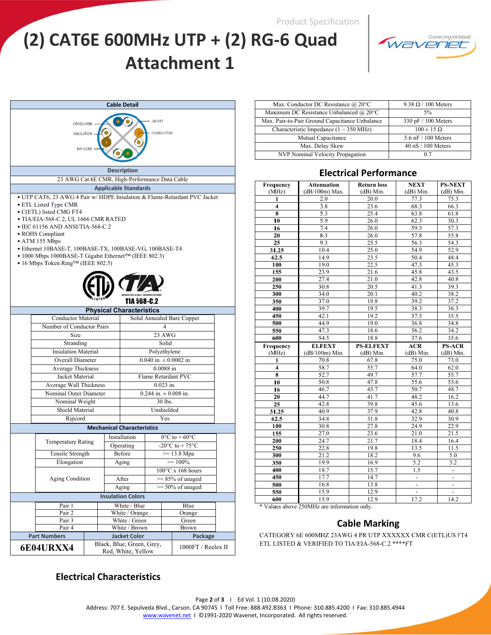**Product Specification** 

# (2) CAT6E 600MHz UTP + (2) RG-6 Quad **Attachment 1**



| <b>Cable Detail</b>                                                                                                                                                                                                                                                                                                                                                                                                                                        |                          |  |                                                |  |             |                                      |  |
|------------------------------------------------------------------------------------------------------------------------------------------------------------------------------------------------------------------------------------------------------------------------------------------------------------------------------------------------------------------------------------------------------------------------------------------------------------|--------------------------|--|------------------------------------------------|--|-------------|--------------------------------------|--|
| <b>JACKET</b><br>CROSS-WEB<br>CONDUCTOR<br><b>INSULATION</b><br><b>RIP CORD</b>                                                                                                                                                                                                                                                                                                                                                                            |                          |  |                                                |  |             |                                      |  |
|                                                                                                                                                                                                                                                                                                                                                                                                                                                            |                          |  | <b>Description</b>                             |  |             |                                      |  |
| 23 AWG Cat 6E CMR, High-Performance Data Cable                                                                                                                                                                                                                                                                                                                                                                                                             |                          |  |                                                |  |             |                                      |  |
|                                                                                                                                                                                                                                                                                                                                                                                                                                                            |                          |  | <b>Applicable Standards</b>                    |  |             |                                      |  |
| • UTP CAT6, 23 AWG 4 Pair w/HDPE Insulation & Flame-Retardant PVC Jacket<br>• ETL Listed Type CMR<br>• C(ETL) listed CMG FT4<br>• TIA/EIA-568-C.2, UL 1666 CMR RATED<br>$\bullet$ IEC 61156 AND ANSI/TIA-568-C.2<br>• ROHS Compliant<br>$\bullet$ ATM 155 Mbps<br>• Ethernet 10BASE-T, 100BASE-TX, 100BASE-VG, 100BASE-T4<br>• 1000 Mbps 1000BASE-T Gigabit Ethernet <sup>TM</sup> (IEEE 802.3)<br>$\bullet$ 16 Mbps Token Ring <sup>TM</sup> (IEEE 802.5) |                          |  |                                                |  |             |                                      |  |
|                                                                                                                                                                                                                                                                                                                                                                                                                                                            |                          |  | TIA 568-C.2<br><b>Physical Characteristics</b> |  |             |                                      |  |
| <b>Conductor Material</b>                                                                                                                                                                                                                                                                                                                                                                                                                                  |                          |  |                                                |  |             | Solid Annealed Bare Copper           |  |
| Number of Conductor Pairs<br>4                                                                                                                                                                                                                                                                                                                                                                                                                             |                          |  |                                                |  |             |                                      |  |
| 23 AWG<br>Size                                                                                                                                                                                                                                                                                                                                                                                                                                             |                          |  |                                                |  |             |                                      |  |
| Stranding<br>Solid                                                                                                                                                                                                                                                                                                                                                                                                                                         |                          |  |                                                |  |             |                                      |  |
| <b>Insulation Material</b><br>Polyethylene                                                                                                                                                                                                                                                                                                                                                                                                                 |                          |  |                                                |  |             |                                      |  |
| $0.040$ in. $\pm 0.0002$ in<br>Overall Diameter                                                                                                                                                                                                                                                                                                                                                                                                            |                          |  |                                                |  |             |                                      |  |
| Average Thickness                                                                                                                                                                                                                                                                                                                                                                                                                                          |                          |  |                                                |  | $0.0088$ in |                                      |  |
| Jacket Material                                                                                                                                                                                                                                                                                                                                                                                                                                            |                          |  | Flame Retardant PVC                            |  |             |                                      |  |
| Average Wall Thickness                                                                                                                                                                                                                                                                                                                                                                                                                                     |                          |  |                                                |  | $0.023$ in. |                                      |  |
| Nominal Outer Diameter                                                                                                                                                                                                                                                                                                                                                                                                                                     |                          |  |                                                |  |             | $0.244$ in. $\pm$ 0.008 in.          |  |
| Nominal Weight                                                                                                                                                                                                                                                                                                                                                                                                                                             |                          |  |                                                |  | 30 lbs.     |                                      |  |
| Shield Material                                                                                                                                                                                                                                                                                                                                                                                                                                            |                          |  |                                                |  | Unshielded  |                                      |  |
| Ripcord                                                                                                                                                                                                                                                                                                                                                                                                                                                    |                          |  |                                                |  | Yes         |                                      |  |
|                                                                                                                                                                                                                                                                                                                                                                                                                                                            |                          |  | <b>Mechanical Characteristics</b>              |  |             |                                      |  |
|                                                                                                                                                                                                                                                                                                                                                                                                                                                            |                          |  | Installation                                   |  |             | $0^{\circ}$ C to +60 $^{\circ}$ C    |  |
| <b>Temperature Rating</b>                                                                                                                                                                                                                                                                                                                                                                                                                                  |                          |  | Operating                                      |  |             | $-20^{\circ}$ C to + 75 $^{\circ}$ C |  |
| Tensile Strength                                                                                                                                                                                                                                                                                                                                                                                                                                           |                          |  | Before<br>$>= 13.8 \text{ Mpa}$                |  |             |                                      |  |
| Elongation                                                                                                                                                                                                                                                                                                                                                                                                                                                 |                          |  | Aging<br>$\geq$ 100%                           |  |             |                                      |  |
|                                                                                                                                                                                                                                                                                                                                                                                                                                                            |                          |  | $100^{\circ}$ C x 168 hours                    |  |             |                                      |  |
| Aging Condition                                                                                                                                                                                                                                                                                                                                                                                                                                            | After                    |  | $>= 85\%$ of unaged                            |  |             |                                      |  |
|                                                                                                                                                                                                                                                                                                                                                                                                                                                            |                          |  | $\ge$ 50% of unaged<br>Aging                   |  |             |                                      |  |
|                                                                                                                                                                                                                                                                                                                                                                                                                                                            |                          |  | <b>Insulation Colors</b>                       |  |             |                                      |  |
| Pair 1                                                                                                                                                                                                                                                                                                                                                                                                                                                     |                          |  | White / Blue                                   |  |             | Blue                                 |  |
| Pair 2                                                                                                                                                                                                                                                                                                                                                                                                                                                     | White / Orange<br>Orange |  |                                                |  |             |                                      |  |
| Pair 3                                                                                                                                                                                                                                                                                                                                                                                                                                                     |                          |  | White / Green                                  |  |             | Green                                |  |
| Pair 4<br>White / Brown<br>Brown                                                                                                                                                                                                                                                                                                                                                                                                                           |                          |  |                                                |  |             |                                      |  |
| <b>Part Numbers</b><br><b>Jacket Color</b><br>Package                                                                                                                                                                                                                                                                                                                                                                                                      |                          |  |                                                |  |             |                                      |  |
| Black, Blue, Green, Grey,<br><b>6E04URXX4</b><br>1000FT / Reelex II<br>Red, White, Yellow                                                                                                                                                                                                                                                                                                                                                                  |                          |  |                                                |  |             |                                      |  |

| Max. Conductor DC Resistance @ 20°C                 | $9.38 \Omega / 100$ Meters           |
|-----------------------------------------------------|--------------------------------------|
| Maximum DC Resistance Unbalanced @ 20°C             | 5%                                   |
| Max. Pair-to-Pair Ground Capacitance Unbalance      | 330 pF / 100 Meters                  |
| Characteristic Impedance $(1 \sim 350 \text{ MHz})$ | $100 \pm 15 \Omega$                  |
| Mutual Capacitance                                  | 5.6 nF / 100 Meters                  |
| Max. Delay Skew                                     | $40 \text{ nS} / 100 \text{ Meters}$ |
| NVP Nominal Velocity Propagation                    | 0.7                                  |

#### **Electrical Performance**

| Frequency               | <b>Attenuation</b> | <b>Return loss</b> | <b>NEXT</b>              | <b>PS-NEXT</b>                   |
|-------------------------|--------------------|--------------------|--------------------------|----------------------------------|
| (MHz)                   | $(dB/100m)$ Max.   | $(dB)$ Min.        | $(dB)$ Min.              | $(dB)$ Min.                      |
| 1                       | 2.0                | 20.0               | 77.3                     | 75.3                             |
| $\overline{4}$          | 3.8                | 23.6               | 68.3                     | 66.3                             |
| 8                       | $\overline{5.3}$   | 25.4               | 63.8                     | 61.8                             |
| 10                      | 5.9                | 26.0               | 62.3                     | 30.3                             |
| 16                      | 7.4                | 26.0               | 59.3                     | 57.3                             |
| 20                      | 8.3                | 26.0               | 57.8                     | 55.8                             |
| 25                      | 9.3                | 25.5               | 56.3                     | 54.3                             |
| 31.25                   | 10.4               | 25.0               | 54.9                     | 52.9                             |
| 62.5                    | 14.9               | 23.5               | 50.4                     | 48.4                             |
| 100                     | 19.0               | 22.5               | 47.3                     | 45.3                             |
| 155                     | 23.9               | 21.6               | 45.8                     | 43.5                             |
| 200                     | 27.4               | 21.0               | 42.8                     | 40.8                             |
| 250                     | 30.8               | 20.5               | 41.3                     | 39.3                             |
| 300                     | 34.0               | 20.1               | 40.2                     | 38.2                             |
| 350                     | 37.0               | 19.8               | 39.2                     | 37.2                             |
| 400                     | 39.7               | 19.5               | 38.3                     | 36.3                             |
| 450                     | 42.1               | 19.2               | 37.5                     | 35.5                             |
| 500                     | 44.9               | 19.0               | 36.8                     | 34.8                             |
| 550                     | 47.3               | 18.6               | 36.2                     | 34.2                             |
| 600                     | $\overline{54.5}$  | 18.8               | 37.6                     | 35.6                             |
|                         |                    |                    |                          |                                  |
| Frequency               | <b>ELFEXT</b>      | <b>PS-ELFEXT</b>   | <b>ACR</b>               | <b>PS-ACR</b>                    |
| (MHz)                   | $(dB/100m)$ Min.   | $(dB)$ Min.        | $(dB)$ Min.              | $(dB)$ Min.                      |
| 1                       | 70.8               | 67.8               | 75.0                     | 73.0                             |
| $\overline{\mathbf{4}}$ | 58.7               | 55.7               | 64.0                     | 62.0                             |
| $\overline{\bf 8}$      | 52.7               | 49.7               | 57.7                     | 55.7                             |
| 10                      | 50.8               | 47.8               | 55.6                     | 53.6                             |
| 16                      | 46.7               | 43.7               | 50.7                     | 48.7                             |
| 20                      | 44.7               | 41.7               | 48.2                     | 16.2                             |
| 25                      | 42.8               | 39.8               | 45.6                     | 13.6                             |
| 31.25                   | 40.9               | 37.9               | 42.8                     | 40.8                             |
| 62.5                    | 34.8               | 31.8               | 32.9                     | 30.9                             |
| 100                     | 30.8               | 27.8               | 24.9                     | 22.9                             |
| 155                     | 27.0               | 23.6               | 21.0                     | 21.5                             |
| 200                     | 24.7               | 21.7               | 18.4                     | 16.4                             |
| 250                     | 22.8               | 19.8               | 13.5                     | 11.5                             |
| 300                     | 21.2               | 18.2               | 9.6                      | 5.0                              |
| 350                     | 19.9               | 16.9               | 5.2                      | 3.2                              |
| 400                     | 18.7               | 15.7               | 1.5                      | $\blacksquare$                   |
| 450                     | 17.7               | 14.7               | $\overline{\phantom{a}}$ | $\overline{\phantom{a}}$         |
| 500                     | 16.8               | 13.8               |                          |                                  |
| 550<br>600              | 15.9<br>15.9       | 12.9<br>12.9       | $\blacksquare$<br>17.2   | $\overline{\phantom{a}}$<br>14.2 |

\* Values above 250MHz are information only.

#### **Cable Marking**

CATEGORY 6E 600MHZ 23AWG 4 PR UTP XXXXXX CMR C(ETL)US FT4 ETL LISTED & VERIFIED TO TIA/EIA-568-C.2 \*\*\*\*FT

### **Electrical Characteristics**